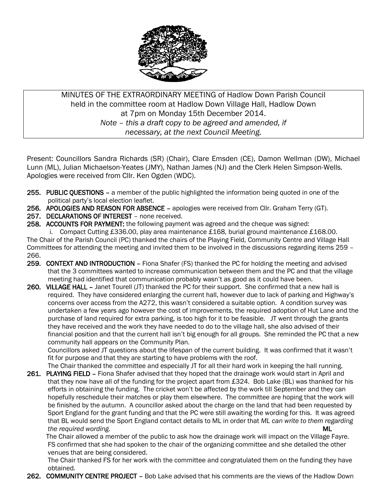

## MINUTES OF THE EXTRAORDINARY MEETING of Hadlow Down Parish Council held in the committee room at Hadlow Down Village Hall, Hadlow Down at 7pm on Monday 15th December 2014. *Note – this a draft copy to be agreed and amended, if necessary, at the next Council Meeting.*

Present: Councillors Sandra Richards (SR) (Chair), Clare Emsden (CE), Damon Wellman (DW), Michael Lunn (ML), Julian Michaelson-Yeates (JMY), Nathan James (NJ) and the Clerk Helen Simpson-Wells. Apologies were received from Cllr. Ken Ogden (WDC).

- 255. PUBLIC QUESTIONS a member of the public highlighted the information being quoted in one of the political party's local election leaflet.
- 256. APOLOGIES AND REASON FOR ABSENCE apologies were received from Cllr. Graham Terry (GT).
- 257. DECLARATIONS OF INTEREST none received.
- 258. ACCOUNTS FOR PAYMENT: the following payment was agreed and the cheque was signed:

i. Compact Cutting £336.00, play area maintenance £168, burial ground maintenance £168.00. The Chair of the Parish Council (PC) thanked the chairs of the Playing Field, Community Centre and Village Hall Committees for attending the meeting and invited them to be involved in the discussions regarding items 259 – 266.

- 259. CONTEXT AND INTRODUCTION Fiona Shafer (FS) thanked the PC for holding the meeting and advised that the 3 committees wanted to increase communication between them and the PC and that the village meeting had identified that communication probably wasn't as good as it could have been.
- 260. VILLAGE HALL Janet Tourell (JT) thanked the PC for their support. She confirmed that a new hall is required. They have considered enlarging the current hall, however due to lack of parking and Highway's concerns over access from the A272, this wasn't considered a suitable option. A condition survey was undertaken a few years ago however the cost of improvements, the required adoption of Hut Lane and the purchase of land required for extra parking, is too high for it to be feasible. JT went through the grants they have received and the work they have needed to do to the village hall, she also advised of their financial position and that the current hall isn't big enough for all groups. She reminded the PC that a new community hall appears on the Community Plan.

 Councillors asked JT questions about the lifespan of the current building. It was confirmed that it wasn't fit for purpose and that they are starting to have problems with the roof.

 The Chair thanked the committee and especially JT for all their hard work in keeping the hall running. 261. PLAYING FIELD – Fiona Shafer advised that they hoped that the drainage work would start in April and

 that they now have all of the funding for the project apart from £324. Bob Lake (BL) was thanked for his efforts in obtaining the funding. The cricket won't be affected by the work till September and they can hopefully reschedule their matches or play them elsewhere. The committee are hoping that the work will be finished by the autumn. A councillor asked about the charge on the land that had been requested by Sport England for the grant funding and that the PC were still awaiting the wording for this. It was agreed that BL would send the Sport England contact details to ML in order that *ML can write to them regarding the required wording.* ML

 The Chair allowed a member of the public to ask how the drainage work will impact on the Village Fayre. FS confirmed that she had spoken to the chair of the organizing committee and she detailed the other venues that are being considered.

 The Chair thanked FS for her work with the committee and congratulated them on the funding they have obtained.

262. COMMUNITY CENTRE PROJECT – Bob Lake advised that his comments are the views of the Hadlow Down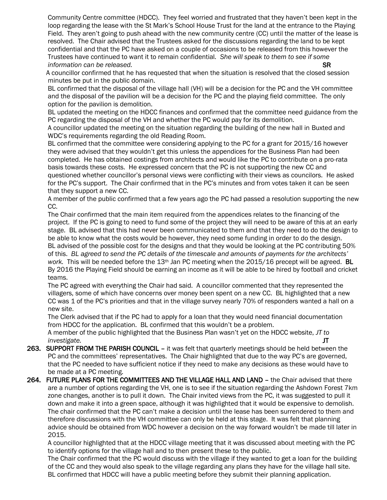Community Centre committee (HDCC). They feel worried and frustrated that they haven't been kept in the loop regarding the lease with the St Mark's School House Trust for the land at the entrance to the Playing Field. They aren't going to push ahead with the new community centre (CC) until the matter of the lease is resolved. The Chair advised that the Trustees asked for the discussions regarding the land to be kept confidential and that the PC have asked on a couple of occasions to be released from this however the Trustees have continued to want it to remain confidential*. She will speak to them to see if some information can be released.* SR

 A councillor confirmed that he has requested that when the situation is resolved that the closed session minutes be put in the public domain.

 BL confirmed that the disposal of the village hall (VH) will be a decision for the PC and the VH committee and the disposal of the pavilion will be a decision for the PC and the playing field committee. The only option for the pavilion is demolition.

 BL updated the meeting on the HDCC finances and confirmed that the committee need guidance from the PC regarding the disposal of the VH and whether the PC would pay for its demolition.

 A councillor updated the meeting on the situation regarding the building of the new hall in Buxted and WDC's requirements regarding the old Reading Room.

 BL confirmed that the committee were considering applying to the PC for a grant for 2015/16 however they were advised that they wouldn't get this unless the appendices for the Business Plan had been completed. He has obtained costings from architects and would like the PC to contribute on a pro-rata basis towards these costs. He expressed concern that the PC is not supporting the new CC and questioned whether councillor's personal views were conflicting with their views as councilors. He asked for the PC's support. The Chair confirmed that in the PC's minutes and from votes taken it can be seen that they support a new CC.

 A member of the public confirmed that a few years ago the PC had passed a resolution supporting the new CC.

 The Chair confirmed that the main item required from the appendices relates to the financing of the project. If the PC is going to need to fund some of the project they will need to be aware of this at an early stage. BL advised that this had never been communicated to them and that they need to do the design to be able to know what the costs would be however, they need some funding in order to do the design. BL advised of the possible cost for the designs and that they would be looking at the PC contributing 50% of this. *BL agreed to send the PC details of the timescale and amounts of payments for the architects' work*. This will be needed before the 13<sup>th</sup> Jan PC meeting when the 2015/16 precept will be agreed. **BL**  By 2016 the Playing Field should be earning an income as it will be able to be hired by football and cricket teams.

 The PC agreed with everything the Chair had said. A councillor commented that they represented the villagers, some of which have concerns over money been spent on a new CC. BL highlighted that a new CC was 1 of the PC's priorities and that in the village survey nearly 70% of responders wanted a hall on a new site.

 The Clerk advised that if the PC had to apply for a loan that they would need financial documentation from HDCC for the application. BL confirmed that this wouldn't be a problem.

 A member of the public highlighted that the Business Plan wasn't yet on the HDCC website, *JT to investigate.* JT

- 263. SUPPORT FROM THE PARISH COUNCIL it was felt that quarterly meetings should be held between the PC and the committees' representatives. The Chair highlighted that due to the way PC's are governed, that the PC needed to have sufficient notice if they need to make any decisions as these would have to be made at a PC meeting.
- 264. FUTURE PLANS FOR THE COMMITTEES AND THE VILLAGE HALL AND LAND the Chair advised that there are a number of options regarding the VH, one is to see if the situation regarding the Ashdown Forest 7km zone changes, another is to pull it down. The Chair invited views from the PC, it was suggested to pull it down and make it into a green space, although it was highlighted that it would be expensive to demolish. The chair confirmed that the PC can't make a decision until the lease has been surrendered to them and therefore discussions with the VH committee can only be held at this stage. It was felt that planning advice should be obtained from WDC however a decision on the way forward wouldn't be made till later in 2015.

 A councillor highlighted that at the HDCC village meeting that it was discussed about meeting with the PC to identify options for the village hall and to then present these to the public.

 The Chair confirmed that the PC would discuss with the village if they wanted to get a loan for the building of the CC and they would also speak to the village regarding any plans they have for the village hall site. BL confirmed that HDCC will have a public meeting before they submit their planning application.